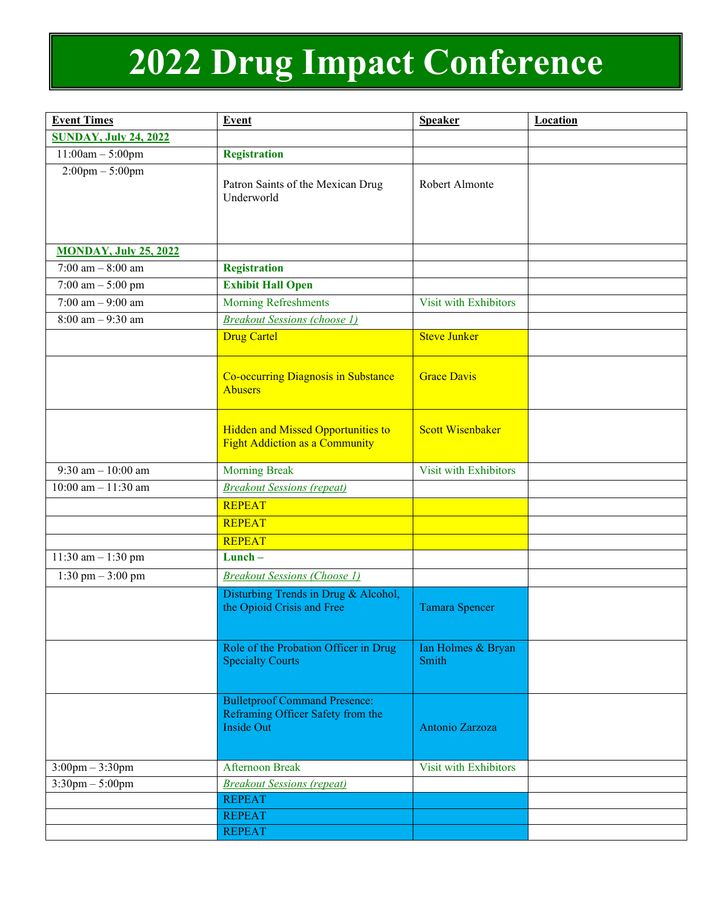## **2022 Drug Impact Conference**

| <b>Event Times</b>                | <b>Event</b>                                                                                   | <b>Speaker</b>              | <b>Location</b> |
|-----------------------------------|------------------------------------------------------------------------------------------------|-----------------------------|-----------------|
| <b>SUNDAY, July 24, 2022</b>      |                                                                                                |                             |                 |
| $11:00am - 5:00pm$                | <b>Registration</b>                                                                            |                             |                 |
| $2:00 \text{pm} - 5:00 \text{pm}$ | Patron Saints of the Mexican Drug<br>Underworld                                                | Robert Almonte              |                 |
| <b>MONDAY, July 25, 2022</b>      |                                                                                                |                             |                 |
| 7:00 am $-8:00$ am                | <b>Registration</b>                                                                            |                             |                 |
| 7:00 am $-$ 5:00 pm               | <b>Exhibit Hall Open</b>                                                                       |                             |                 |
| 7:00 am $-9:00$ am                | <b>Morning Refreshments</b>                                                                    | Visit with Exhibitors       |                 |
| $8:00$ am $-9:30$ am              | <b>Breakout Sessions (choose 1)</b>                                                            |                             |                 |
|                                   | <b>Drug Cartel</b>                                                                             | <b>Steve Junker</b>         |                 |
|                                   | <b>Co-occurring Diagnosis in Substance</b><br><b>Abusers</b>                                   | <b>Grace Davis</b>          |                 |
|                                   | <b>Hidden and Missed Opportunities to</b><br><b>Fight Addiction as a Community</b>             | <b>Scott Wisenbaker</b>     |                 |
| 9:30 am $-10:00$ am               | <b>Morning Break</b>                                                                           | Visit with Exhibitors       |                 |
| $10:00$ am $-11:30$ am            | <b>Breakout Sessions (repeat)</b>                                                              |                             |                 |
|                                   | <b>REPEAT</b>                                                                                  |                             |                 |
|                                   | <b>REPEAT</b>                                                                                  |                             |                 |
|                                   | <b>REPEAT</b>                                                                                  |                             |                 |
| $11:30$ am $-1:30$ pm             | Lunch-                                                                                         |                             |                 |
| $1:30$ pm $-3:00$ pm              | <b>Breakout Sessions (Choose 1)</b>                                                            |                             |                 |
|                                   | Disturbing Trends in Drug & Alcohol,<br>the Opioid Crisis and Free                             | <b>Tamara Spencer</b>       |                 |
|                                   | Role of the Probation Officer in Drug<br><b>Specialty Courts</b>                               | Ian Holmes & Bryan<br>Smith |                 |
|                                   | <b>Bulletproof Command Presence:</b><br>Reframing Officer Safety from the<br><b>Inside Out</b> | Antonio Zarzoza             |                 |
| $3:00$ pm $-3:30$ pm              | <b>Afternoon Break</b>                                                                         | Visit with Exhibitors       |                 |
| $3:30$ pm – 5:00pm                | <b>Breakout Sessions (repeat)</b>                                                              |                             |                 |
|                                   | <b>REPEAT</b>                                                                                  |                             |                 |
|                                   | <b>REPEAT</b>                                                                                  |                             |                 |
|                                   | <b>REPEAT</b>                                                                                  |                             |                 |